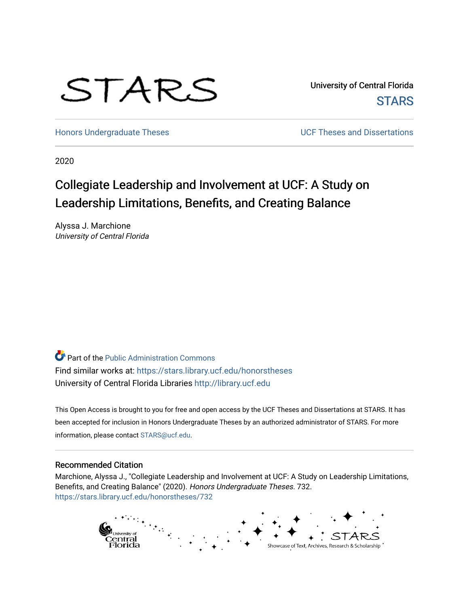# STARS

University of Central Florida **STARS** 

[Honors Undergraduate Theses](https://stars.library.ucf.edu/honorstheses) **No. 2018** UCF Theses and Dissertations

2020

## Collegiate Leadership and Involvement at UCF: A Study on Leadership Limitations, Benefits, and Creating Balance

Alyssa J. Marchione University of Central Florida

Part of the [Public Administration Commons](http://network.bepress.com/hgg/discipline/398?utm_source=stars.library.ucf.edu%2Fhonorstheses%2F732&utm_medium=PDF&utm_campaign=PDFCoverPages) Find similar works at: <https://stars.library.ucf.edu/honorstheses> University of Central Florida Libraries [http://library.ucf.edu](http://library.ucf.edu/) 

This Open Access is brought to you for free and open access by the UCF Theses and Dissertations at STARS. It has been accepted for inclusion in Honors Undergraduate Theses by an authorized administrator of STARS. For more information, please contact [STARS@ucf.edu.](mailto:STARS@ucf.edu)

#### Recommended Citation

Marchione, Alyssa J., "Collegiate Leadership and Involvement at UCF: A Study on Leadership Limitations, Benefits, and Creating Balance" (2020). Honors Undergraduate Theses. 732. [https://stars.library.ucf.edu/honorstheses/732](https://stars.library.ucf.edu/honorstheses/732?utm_source=stars.library.ucf.edu%2Fhonorstheses%2F732&utm_medium=PDF&utm_campaign=PDFCoverPages) 

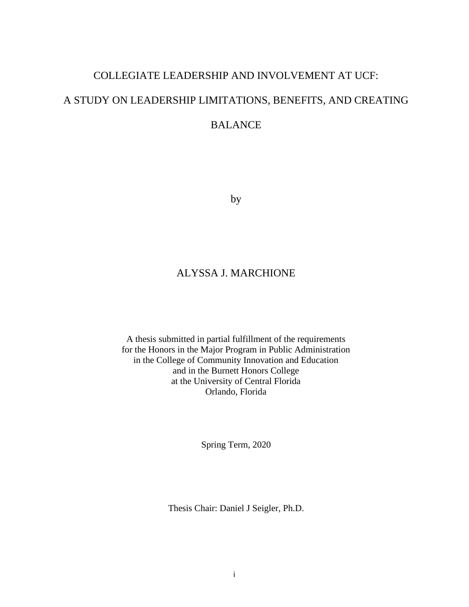## COLLEGIATE LEADERSHIP AND INVOLVEMENT AT UCF: A STUDY ON LEADERSHIP LIMITATIONS, BENEFITS, AND CREATING BALANCE

by

## ALYSSA J. MARCHIONE

A thesis submitted in partial fulfillment of the requirements for the Honors in the Major Program in Public Administration in the College of Community Innovation and Education and in the Burnett Honors College at the University of Central Florida Orlando, Florida

Spring Term, 2020

Thesis Chair: Daniel J Seigler, Ph.D.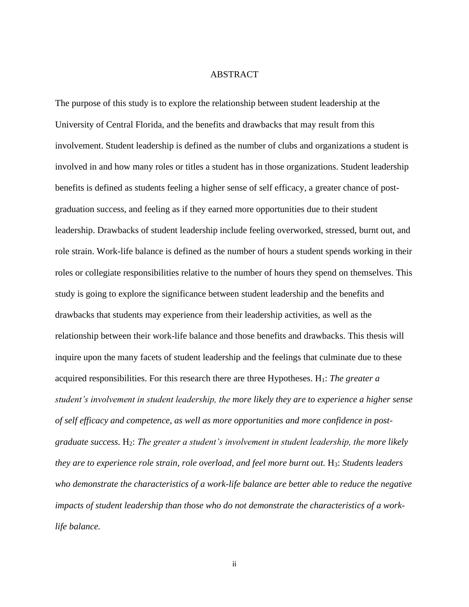#### ABSTRACT

The purpose of this study is to explore the relationship between student leadership at the University of Central Florida, and the benefits and drawbacks that may result from this involvement. Student leadership is defined as the number of clubs and organizations a student is involved in and how many roles or titles a student has in those organizations. Student leadership benefits is defined as students feeling a higher sense of self efficacy, a greater chance of postgraduation success, and feeling as if they earned more opportunities due to their student leadership. Drawbacks of student leadership include feeling overworked, stressed, burnt out, and role strain. Work-life balance is defined as the number of hours a student spends working in their roles or collegiate responsibilities relative to the number of hours they spend on themselves. This study is going to explore the significance between student leadership and the benefits and drawbacks that students may experience from their leadership activities, as well as the relationship between their work-life balance and those benefits and drawbacks. This thesis will inquire upon the many facets of student leadership and the feelings that culminate due to these acquired responsibilities. For this research there are three Hypotheses. H1: *The greater a student's involvement in student leadership, the more likely they are to experience a higher sense of self efficacy and competence, as well as more opportunities and more confidence in postgraduate success.* H2: *The greater a student's involvement in student leadership, the more likely they are to experience role strain, role overload, and feel more burnt out.* H3: *Students leaders who demonstrate the characteristics of a work-life balance are better able to reduce the negative impacts of student leadership than those who do not demonstrate the characteristics of a worklife balance.*

ii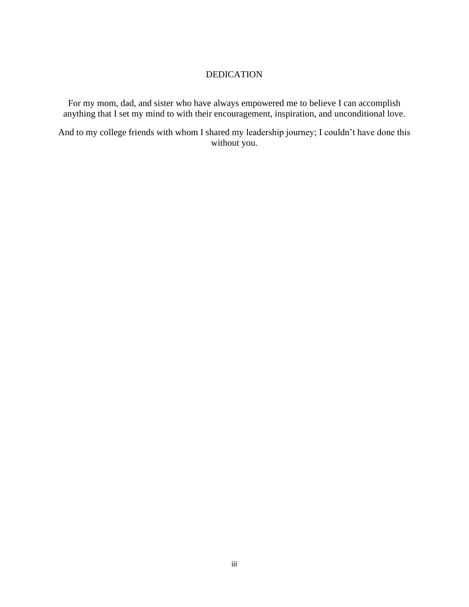#### DEDICATION

For my mom, dad, and sister who have always empowered me to believe I can accomplish anything that I set my mind to with their encouragement, inspiration, and unconditional love.

And to my college friends with whom I shared my leadership journey; I couldn't have done this without you.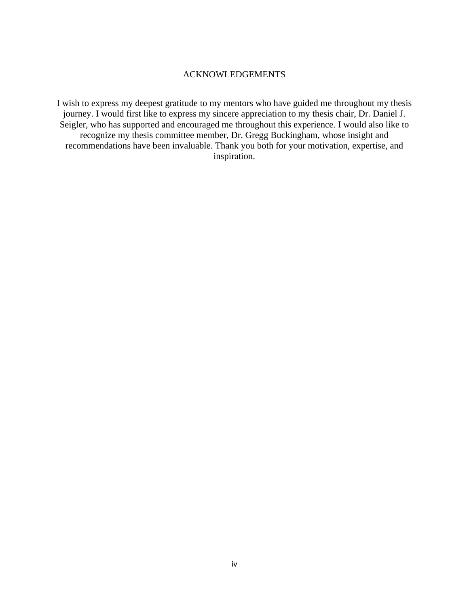#### ACKNOWLEDGEMENTS

I wish to express my deepest gratitude to my mentors who have guided me throughout my thesis journey. I would first like to express my sincere appreciation to my thesis chair, Dr. Daniel J. Seigler, who has supported and encouraged me throughout this experience. I would also like to recognize my thesis committee member, Dr. Gregg Buckingham, whose insight and recommendations have been invaluable. Thank you both for your motivation, expertise, and inspiration.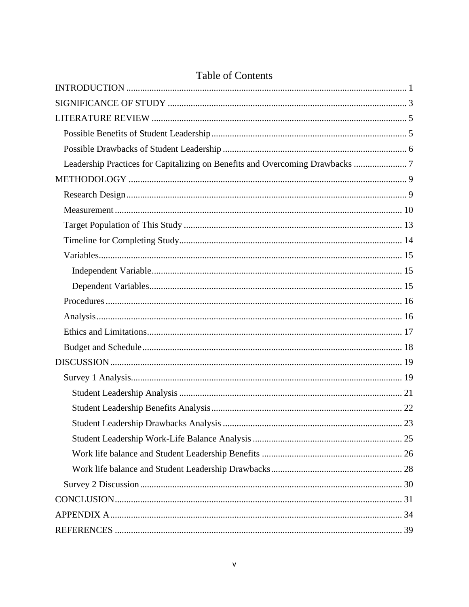| Leadership Practices for Capitalizing on Benefits and Overcoming Drawbacks  7 |  |
|-------------------------------------------------------------------------------|--|
|                                                                               |  |
|                                                                               |  |
|                                                                               |  |
|                                                                               |  |
|                                                                               |  |
|                                                                               |  |
|                                                                               |  |
|                                                                               |  |
|                                                                               |  |
|                                                                               |  |
|                                                                               |  |
|                                                                               |  |
|                                                                               |  |
|                                                                               |  |
|                                                                               |  |
|                                                                               |  |
|                                                                               |  |
|                                                                               |  |
|                                                                               |  |
|                                                                               |  |
|                                                                               |  |
|                                                                               |  |
|                                                                               |  |
|                                                                               |  |

## **Table of Contents**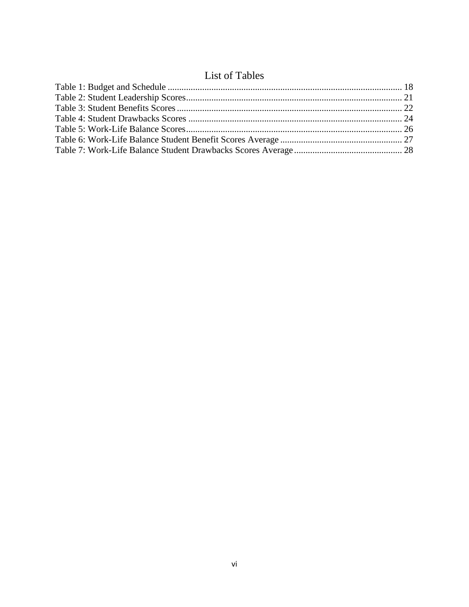## List of Tables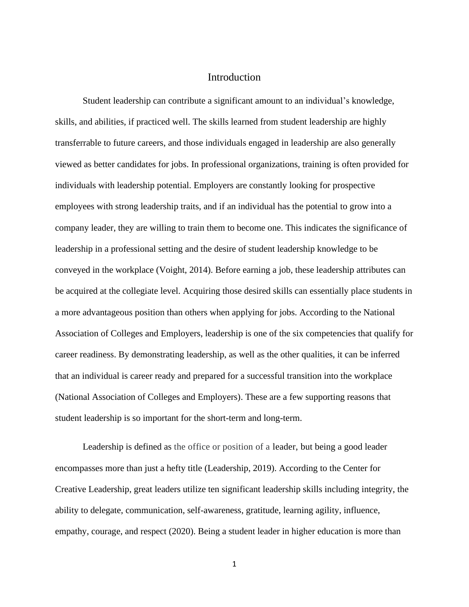#### <span id="page-7-0"></span>Introduction

Student leadership can contribute a significant amount to an individual's knowledge, skills, and abilities, if practiced well. The skills learned from student leadership are highly transferrable to future careers, and those individuals engaged in leadership are also generally viewed as better candidates for jobs. In professional organizations, training is often provided for individuals with leadership potential. Employers are constantly looking for prospective employees with strong leadership traits, and if an individual has the potential to grow into a company leader, they are willing to train them to become one. This indicates the significance of leadership in a professional setting and the desire of student leadership knowledge to be conveyed in the workplace (Voight, 2014). Before earning a job, these leadership attributes can be acquired at the collegiate level. Acquiring those desired skills can essentially place students in a more advantageous position than others when applying for jobs. According to the National Association of Colleges and Employers, leadership is one of the six competencies that qualify for career readiness. By demonstrating leadership, as well as the other qualities, it can be inferred that an individual is career ready and prepared for a successful transition into the workplace (National Association of Colleges and Employers). These are a few supporting reasons that student leadership is so important for the short-term and long-term.

Leadership is defined as the office or position of a leader, but being a good leader encompasses more than just a hefty title (Leadership, 2019). According to the Center for Creative Leadership, great leaders utilize ten significant leadership skills including integrity, the ability to delegate, communication, self-awareness, gratitude, learning agility, influence, empathy, courage, and respect (2020). Being a student leader in higher education is more than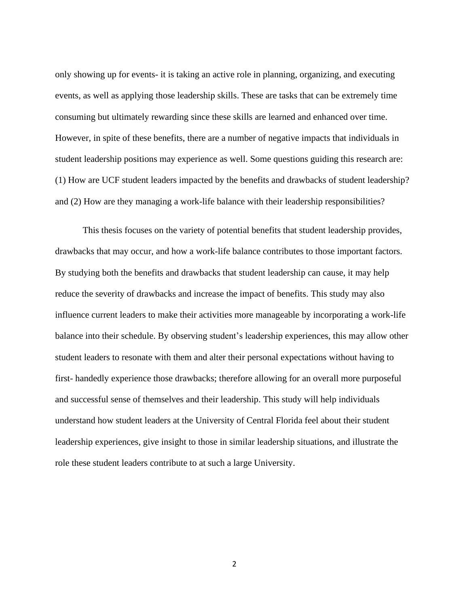only showing up for events- it is taking an active role in planning, organizing, and executing events, as well as applying those leadership skills. These are tasks that can be extremely time consuming but ultimately rewarding since these skills are learned and enhanced over time. However, in spite of these benefits, there are a number of negative impacts that individuals in student leadership positions may experience as well. Some questions guiding this research are: (1) How are UCF student leaders impacted by the benefits and drawbacks of student leadership? and (2) How are they managing a work-life balance with their leadership responsibilities?

<span id="page-8-0"></span>This thesis focuses on the variety of potential benefits that student leadership provides, drawbacks that may occur, and how a work-life balance contributes to those important factors. By studying both the benefits and drawbacks that student leadership can cause, it may help reduce the severity of drawbacks and increase the impact of benefits. This study may also influence current leaders to make their activities more manageable by incorporating a work-life balance into their schedule. By observing student's leadership experiences, this may allow other student leaders to resonate with them and alter their personal expectations without having to first- handedly experience those drawbacks; therefore allowing for an overall more purposeful and successful sense of themselves and their leadership. This study will help individuals understand how student leaders at the University of Central Florida feel about their student leadership experiences, give insight to those in similar leadership situations, and illustrate the role these student leaders contribute to at such a large University.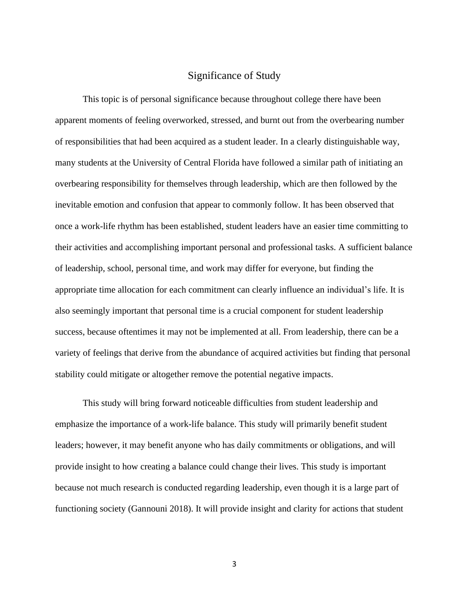#### Significance of Study

This topic is of personal significance because throughout college there have been apparent moments of feeling overworked, stressed, and burnt out from the overbearing number of responsibilities that had been acquired as a student leader. In a clearly distinguishable way, many students at the University of Central Florida have followed a similar path of initiating an overbearing responsibility for themselves through leadership, which are then followed by the inevitable emotion and confusion that appear to commonly follow. It has been observed that once a work-life rhythm has been established, student leaders have an easier time committing to their activities and accomplishing important personal and professional tasks. A sufficient balance of leadership, school, personal time, and work may differ for everyone, but finding the appropriate time allocation for each commitment can clearly influence an individual's life. It is also seemingly important that personal time is a crucial component for student leadership success, because oftentimes it may not be implemented at all. From leadership, there can be a variety of feelings that derive from the abundance of acquired activities but finding that personal stability could mitigate or altogether remove the potential negative impacts.

This study will bring forward noticeable difficulties from student leadership and emphasize the importance of a work-life balance. This study will primarily benefit student leaders; however, it may benefit anyone who has daily commitments or obligations, and will provide insight to how creating a balance could change their lives. This study is important because not much research is conducted regarding leadership, even though it is a large part of functioning society (Gannouni 2018). It will provide insight and clarity for actions that student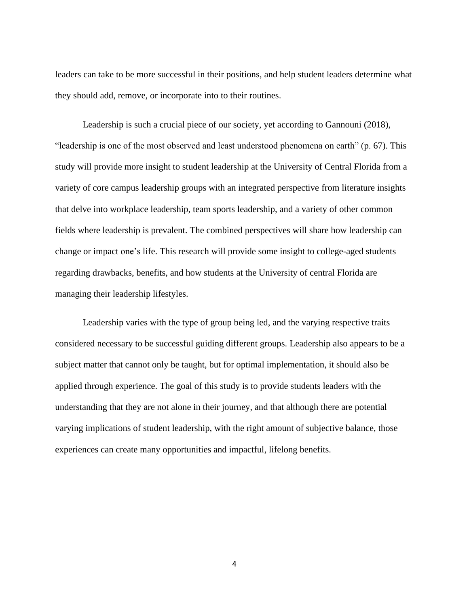leaders can take to be more successful in their positions, and help student leaders determine what they should add, remove, or incorporate into to their routines.

Leadership is such a crucial piece of our society, yet according to Gannouni (2018), "leadership is one of the most observed and least understood phenomena on earth" (p. 67). This study will provide more insight to student leadership at the University of Central Florida from a variety of core campus leadership groups with an integrated perspective from literature insights that delve into workplace leadership, team sports leadership, and a variety of other common fields where leadership is prevalent. The combined perspectives will share how leadership can change or impact one's life. This research will provide some insight to college-aged students regarding drawbacks, benefits, and how students at the University of central Florida are managing their leadership lifestyles.

Leadership varies with the type of group being led, and the varying respective traits considered necessary to be successful guiding different groups. Leadership also appears to be a subject matter that cannot only be taught, but for optimal implementation, it should also be applied through experience. The goal of this study is to provide students leaders with the understanding that they are not alone in their journey, and that although there are potential varying implications of student leadership, with the right amount of subjective balance, those experiences can create many opportunities and impactful, lifelong benefits.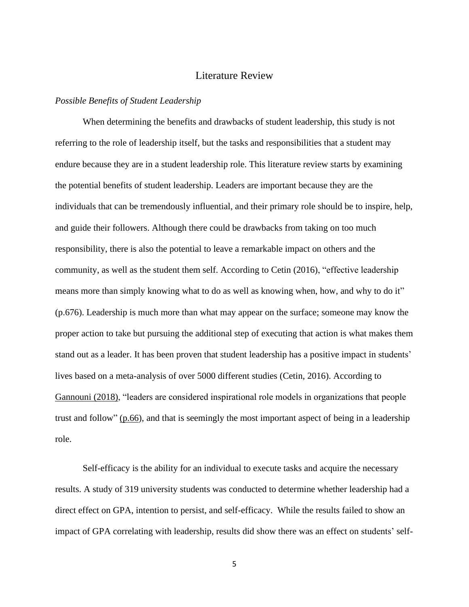#### Literature Review

#### <span id="page-11-1"></span><span id="page-11-0"></span>*Possible Benefits of Student Leadership*

When determining the benefits and drawbacks of student leadership, this study is not referring to the role of leadership itself, but the tasks and responsibilities that a student may endure because they are in a student leadership role. This literature review starts by examining the potential benefits of student leadership. Leaders are important because they are the individuals that can be tremendously influential, and their primary role should be to inspire, help, and guide their followers. Although there could be drawbacks from taking on too much responsibility, there is also the potential to leave a remarkable impact on others and the community, as well as the student them self. According to Cetin (2016), "effective leadership means more than simply knowing what to do as well as knowing when, how, and why to do it" (p.676). Leadership is much more than what may appear on the surface; someone may know the proper action to take but pursuing the additional step of executing that action is what makes them stand out as a leader. It has been proven that student leadership has a positive impact in students' lives based on a meta-analysis of over 5000 different studies (Cetin, 2016). According to Gannouni (2018), "leaders are considered inspirational role models in organizations that people trust and follow" (p.66), and that is seemingly the most important aspect of being in a leadership role.

Self-efficacy is the ability for an individual to execute tasks and acquire the necessary results. A study of 319 university students was conducted to determine whether leadership had a direct effect on GPA, intention to persist, and self-efficacy. While the results failed to show an impact of GPA correlating with leadership, results did show there was an effect on students' self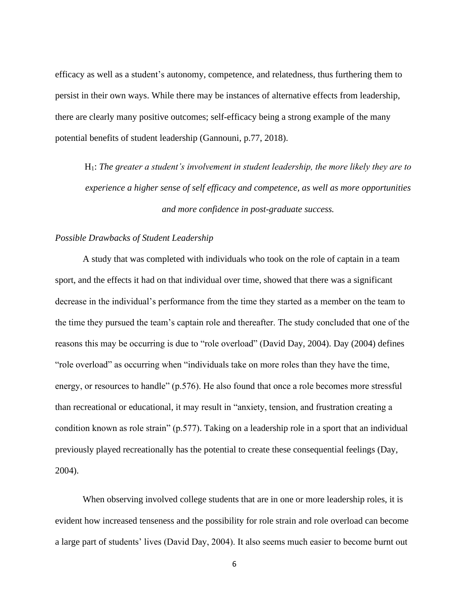efficacy as well as a student's autonomy, competence, and relatedness, thus furthering them to persist in their own ways. While there may be instances of alternative effects from leadership, there are clearly many positive outcomes; self-efficacy being a strong example of the many potential benefits of student leadership (Gannouni, p.77, 2018).

H1: *The greater a student's involvement in student leadership, the more likely they are to experience a higher sense of self efficacy and competence, as well as more opportunities and more confidence in post-graduate success.*

#### <span id="page-12-0"></span>*Possible Drawbacks of Student Leadership*

A study that was completed with individuals who took on the role of captain in a team sport, and the effects it had on that individual over time, showed that there was a significant decrease in the individual's performance from the time they started as a member on the team to the time they pursued the team's captain role and thereafter. The study concluded that one of the reasons this may be occurring is due to "role overload" (David Day, 2004). Day (2004) defines "role overload" as occurring when "individuals take on more roles than they have the time, energy, or resources to handle" (p.576). He also found that once a role becomes more stressful than recreational or educational, it may result in "anxiety, tension, and frustration creating a condition known as role strain" (p.577). Taking on a leadership role in a sport that an individual previously played recreationally has the potential to create these consequential feelings (Day, 2004).

When observing involved college students that are in one or more leadership roles, it is evident how increased tenseness and the possibility for role strain and role overload can become a large part of students' lives (David Day, 2004). It also seems much easier to become burnt out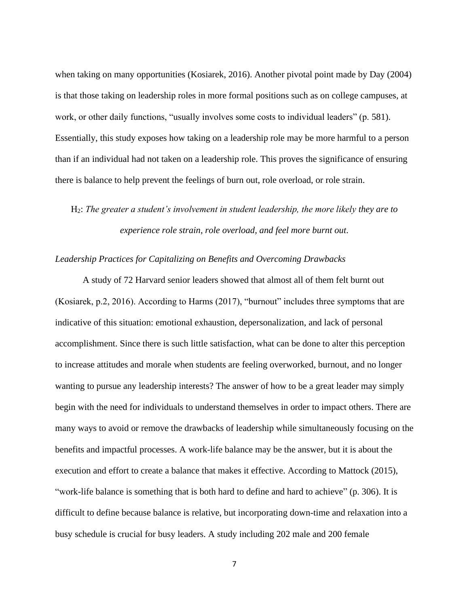when taking on many opportunities (Kosiarek, 2016). Another pivotal point made by Day (2004) is that those taking on leadership roles in more formal positions such as on college campuses, at work, or other daily functions, "usually involves some costs to individual leaders" (p. 581). Essentially, this study exposes how taking on a leadership role may be more harmful to a person than if an individual had not taken on a leadership role. This proves the significance of ensuring there is balance to help prevent the feelings of burn out, role overload, or role strain.

H2: *The greater a student's involvement in student leadership, the more likely they are to experience role strain, role overload, and feel more burnt out.* 

#### <span id="page-13-0"></span>*Leadership Practices for Capitalizing on Benefits and Overcoming Drawbacks*

A study of 72 Harvard senior leaders showed that almost all of them felt burnt out (Kosiarek, p.2, 2016). According to Harms (2017), "burnout" includes three symptoms that are indicative of this situation: emotional exhaustion, depersonalization, and lack of personal accomplishment. Since there is such little satisfaction, what can be done to alter this perception to increase attitudes and morale when students are feeling overworked, burnout, and no longer wanting to pursue any leadership interests? The answer of how to be a great leader may simply begin with the need for individuals to understand themselves in order to impact others. There are many ways to avoid or remove the drawbacks of leadership while simultaneously focusing on the benefits and impactful processes. A work-life balance may be the answer, but it is about the execution and effort to create a balance that makes it effective. According to Mattock (2015), "work-life balance is something that is both hard to define and hard to achieve" (p. 306). It is difficult to define because balance is relative, but incorporating down-time and relaxation into a busy schedule is crucial for busy leaders. A study including 202 male and 200 female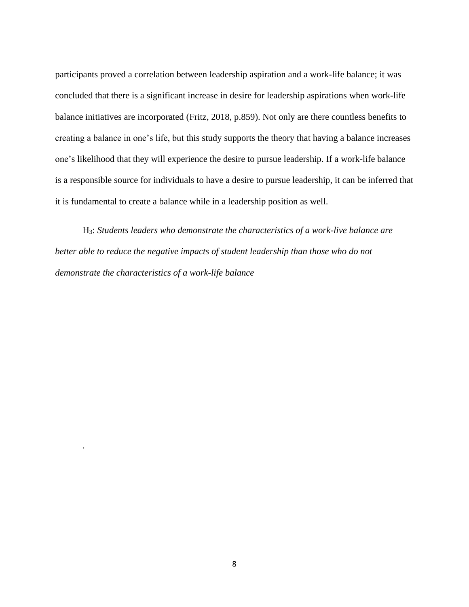participants proved a correlation between leadership aspiration and a work-life balance; it was concluded that there is a significant increase in desire for leadership aspirations when work-life balance initiatives are incorporated (Fritz, 2018, p.859). Not only are there countless benefits to creating a balance in one's life, but this study supports the theory that having a balance increases one's likelihood that they will experience the desire to pursue leadership. If a work-life balance is a responsible source for individuals to have a desire to pursue leadership, it can be inferred that it is fundamental to create a balance while in a leadership position as well.

H3: *Students leaders who demonstrate the characteristics of a work-live balance are better able to reduce the negative impacts of student leadership than those who do not demonstrate the characteristics of a work-life balance*

*.*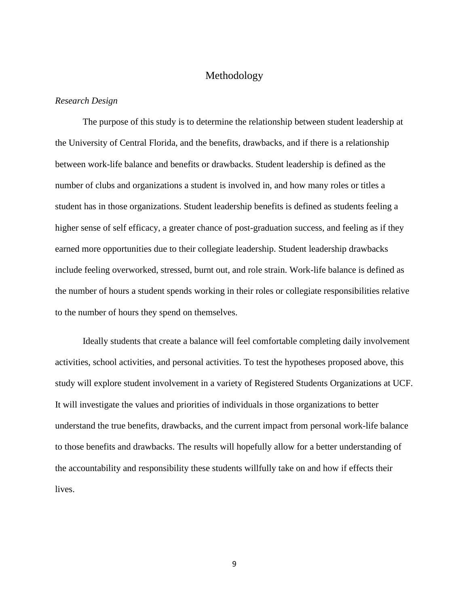#### Methodology

#### <span id="page-15-1"></span><span id="page-15-0"></span>*Research Design*

The purpose of this study is to determine the relationship between student leadership at the University of Central Florida, and the benefits, drawbacks, and if there is a relationship between work-life balance and benefits or drawbacks. Student leadership is defined as the number of clubs and organizations a student is involved in, and how many roles or titles a student has in those organizations. Student leadership benefits is defined as students feeling a higher sense of self efficacy, a greater chance of post-graduation success, and feeling as if they earned more opportunities due to their collegiate leadership. Student leadership drawbacks include feeling overworked, stressed, burnt out, and role strain. Work-life balance is defined as the number of hours a student spends working in their roles or collegiate responsibilities relative to the number of hours they spend on themselves.

Ideally students that create a balance will feel comfortable completing daily involvement activities, school activities, and personal activities. To test the hypotheses proposed above, this study will explore student involvement in a variety of Registered Students Organizations at UCF. It will investigate the values and priorities of individuals in those organizations to better understand the true benefits, drawbacks, and the current impact from personal work-life balance to those benefits and drawbacks. The results will hopefully allow for a better understanding of the accountability and responsibility these students willfully take on and how if effects their lives.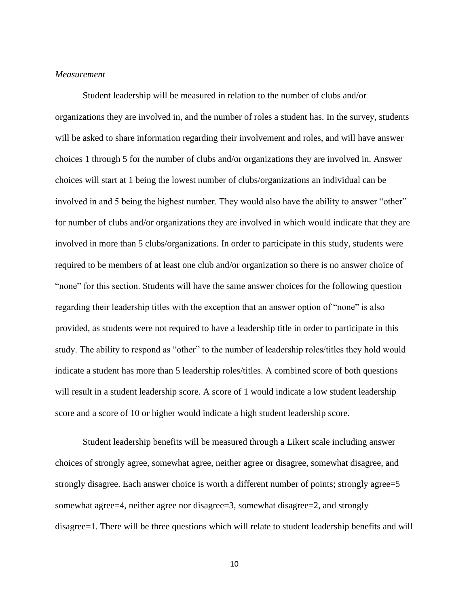#### <span id="page-16-0"></span>*Measurement*

Student leadership will be measured in relation to the number of clubs and/or organizations they are involved in, and the number of roles a student has. In the survey, students will be asked to share information regarding their involvement and roles, and will have answer choices 1 through 5 for the number of clubs and/or organizations they are involved in. Answer choices will start at 1 being the lowest number of clubs/organizations an individual can be involved in and 5 being the highest number. They would also have the ability to answer "other" for number of clubs and/or organizations they are involved in which would indicate that they are involved in more than 5 clubs/organizations. In order to participate in this study, students were required to be members of at least one club and/or organization so there is no answer choice of "none" for this section. Students will have the same answer choices for the following question regarding their leadership titles with the exception that an answer option of "none" is also provided, as students were not required to have a leadership title in order to participate in this study. The ability to respond as "other" to the number of leadership roles/titles they hold would indicate a student has more than 5 leadership roles/titles. A combined score of both questions will result in a student leadership score. A score of 1 would indicate a low student leadership score and a score of 10 or higher would indicate a high student leadership score.

Student leadership benefits will be measured through a Likert scale including answer choices of strongly agree, somewhat agree, neither agree or disagree, somewhat disagree, and strongly disagree. Each answer choice is worth a different number of points; strongly agree=5 somewhat agree=4, neither agree nor disagree=3, somewhat disagree=2, and strongly disagree=1. There will be three questions which will relate to student leadership benefits and will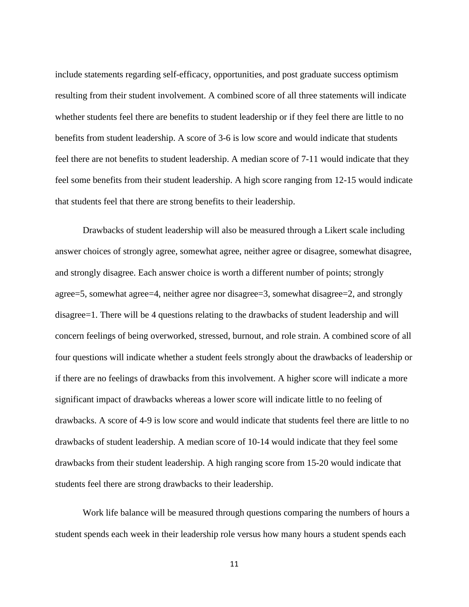include statements regarding self-efficacy, opportunities, and post graduate success optimism resulting from their student involvement. A combined score of all three statements will indicate whether students feel there are benefits to student leadership or if they feel there are little to no benefits from student leadership. A score of 3-6 is low score and would indicate that students feel there are not benefits to student leadership. A median score of 7-11 would indicate that they feel some benefits from their student leadership. A high score ranging from 12-15 would indicate that students feel that there are strong benefits to their leadership.

Drawbacks of student leadership will also be measured through a Likert scale including answer choices of strongly agree, somewhat agree, neither agree or disagree, somewhat disagree, and strongly disagree. Each answer choice is worth a different number of points; strongly agree=5, somewhat agree=4, neither agree nor disagree=3, somewhat disagree=2, and strongly disagree=1. There will be 4 questions relating to the drawbacks of student leadership and will concern feelings of being overworked, stressed, burnout, and role strain. A combined score of all four questions will indicate whether a student feels strongly about the drawbacks of leadership or if there are no feelings of drawbacks from this involvement. A higher score will indicate a more significant impact of drawbacks whereas a lower score will indicate little to no feeling of drawbacks. A score of 4-9 is low score and would indicate that students feel there are little to no drawbacks of student leadership. A median score of 10-14 would indicate that they feel some drawbacks from their student leadership. A high ranging score from 15-20 would indicate that students feel there are strong drawbacks to their leadership.

Work life balance will be measured through questions comparing the numbers of hours a student spends each week in their leadership role versus how many hours a student spends each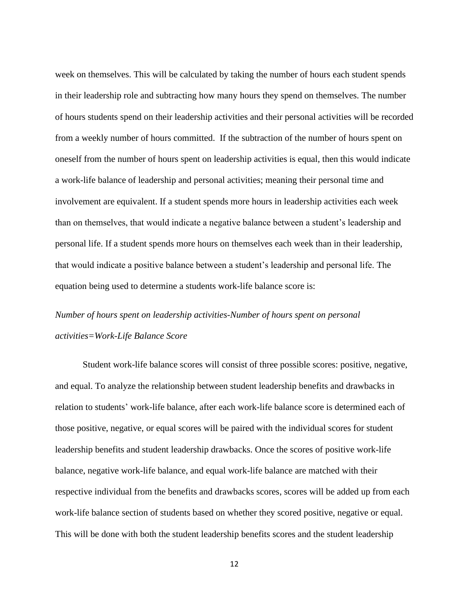week on themselves. This will be calculated by taking the number of hours each student spends in their leadership role and subtracting how many hours they spend on themselves. The number of hours students spend on their leadership activities and their personal activities will be recorded from a weekly number of hours committed. If the subtraction of the number of hours spent on oneself from the number of hours spent on leadership activities is equal, then this would indicate a work-life balance of leadership and personal activities; meaning their personal time and involvement are equivalent. If a student spends more hours in leadership activities each week than on themselves, that would indicate a negative balance between a student's leadership and personal life. If a student spends more hours on themselves each week than in their leadership, that would indicate a positive balance between a student's leadership and personal life. The equation being used to determine a students work-life balance score is:

## *Number of hours spent on leadership activities-Number of hours spent on personal activities=Work-Life Balance Score*

Student work-life balance scores will consist of three possible scores: positive, negative, and equal. To analyze the relationship between student leadership benefits and drawbacks in relation to students' work-life balance, after each work-life balance score is determined each of those positive, negative, or equal scores will be paired with the individual scores for student leadership benefits and student leadership drawbacks. Once the scores of positive work-life balance, negative work-life balance, and equal work-life balance are matched with their respective individual from the benefits and drawbacks scores, scores will be added up from each work-life balance section of students based on whether they scored positive, negative or equal. This will be done with both the student leadership benefits scores and the student leadership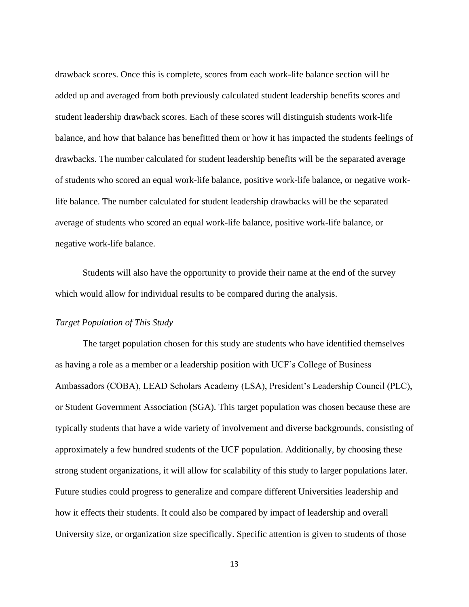drawback scores. Once this is complete, scores from each work-life balance section will be added up and averaged from both previously calculated student leadership benefits scores and student leadership drawback scores. Each of these scores will distinguish students work-life balance, and how that balance has benefitted them or how it has impacted the students feelings of drawbacks. The number calculated for student leadership benefits will be the separated average of students who scored an equal work-life balance, positive work-life balance, or negative worklife balance. The number calculated for student leadership drawbacks will be the separated average of students who scored an equal work-life balance, positive work-life balance, or negative work-life balance.

Students will also have the opportunity to provide their name at the end of the survey which would allow for individual results to be compared during the analysis.

#### <span id="page-19-0"></span>*Target Population of This Study*

The target population chosen for this study are students who have identified themselves as having a role as a member or a leadership position with UCF's College of Business Ambassadors (COBA), LEAD Scholars Academy (LSA), President's Leadership Council (PLC), or Student Government Association (SGA). This target population was chosen because these are typically students that have a wide variety of involvement and diverse backgrounds, consisting of approximately a few hundred students of the UCF population. Additionally, by choosing these strong student organizations, it will allow for scalability of this study to larger populations later. Future studies could progress to generalize and compare different Universities leadership and how it effects their students. It could also be compared by impact of leadership and overall University size, or organization size specifically. Specific attention is given to students of those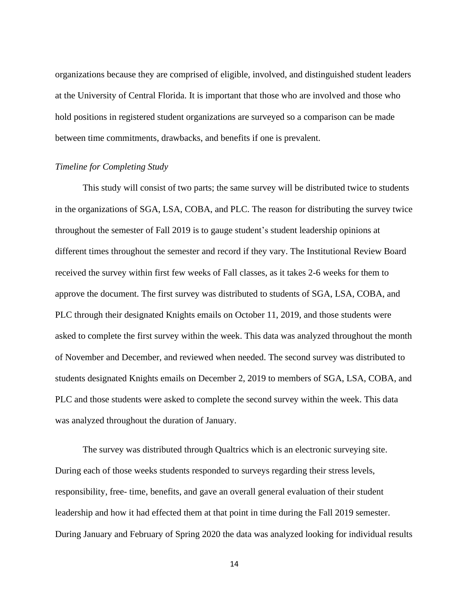organizations because they are comprised of eligible, involved, and distinguished student leaders at the University of Central Florida. It is important that those who are involved and those who hold positions in registered student organizations are surveyed so a comparison can be made between time commitments, drawbacks, and benefits if one is prevalent.

#### <span id="page-20-0"></span>*Timeline for Completing Study*

This study will consist of two parts; the same survey will be distributed twice to students in the organizations of SGA, LSA, COBA, and PLC. The reason for distributing the survey twice throughout the semester of Fall 2019 is to gauge student's student leadership opinions at different times throughout the semester and record if they vary. The Institutional Review Board received the survey within first few weeks of Fall classes, as it takes 2-6 weeks for them to approve the document. The first survey was distributed to students of SGA, LSA, COBA, and PLC through their designated Knights emails on October 11, 2019, and those students were asked to complete the first survey within the week. This data was analyzed throughout the month of November and December, and reviewed when needed. The second survey was distributed to students designated Knights emails on December 2, 2019 to members of SGA, LSA, COBA, and PLC and those students were asked to complete the second survey within the week. This data was analyzed throughout the duration of January.

The survey was distributed through Qualtrics which is an electronic surveying site. During each of those weeks students responded to surveys regarding their stress levels, responsibility, free- time, benefits, and gave an overall general evaluation of their student leadership and how it had effected them at that point in time during the Fall 2019 semester. During January and February of Spring 2020 the data was analyzed looking for individual results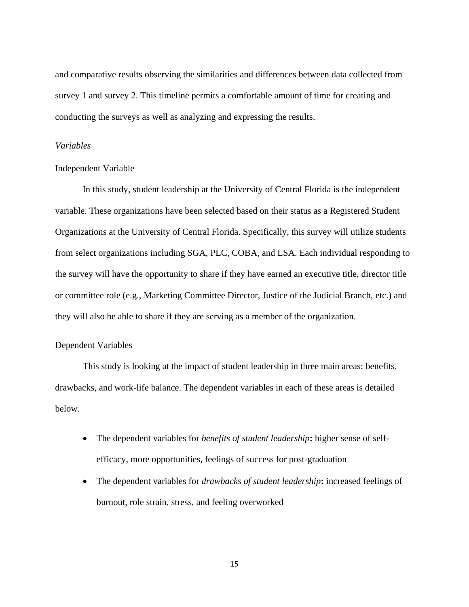and comparative results observing the similarities and differences between data collected from survey 1 and survey 2. This timeline permits a comfortable amount of time for creating and conducting the surveys as well as analyzing and expressing the results.

#### <span id="page-21-0"></span>*Variables*

#### <span id="page-21-1"></span>Independent Variable

In this study, student leadership at the University of Central Florida is the independent variable. These organizations have been selected based on their status as a Registered Student Organizations at the University of Central Florida. Specifically, this survey will utilize students from select organizations including SGA, PLC, COBA, and LSA. Each individual responding to the survey will have the opportunity to share if they have earned an executive title, director title or committee role (e.g., Marketing Committee Director, Justice of the Judicial Branch, etc.) and they will also be able to share if they are serving as a member of the organization.

#### <span id="page-21-2"></span>Dependent Variables

This study is looking at the impact of student leadership in three main areas: benefits, drawbacks, and work-life balance. The dependent variables in each of these areas is detailed below.

- The dependent variables for *benefits of student leadership***:** higher sense of selfefficacy, more opportunities, feelings of success for post-graduation
- The dependent variables for *drawbacks of student leadership***:** increased feelings of burnout, role strain, stress, and feeling overworked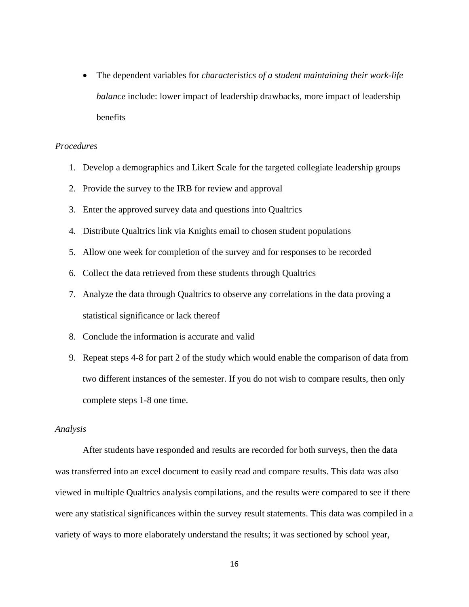• The dependent variables for *characteristics of a student maintaining their work-life balance* include: lower impact of leadership drawbacks, more impact of leadership benefits

#### <span id="page-22-0"></span>*Procedures*

- 1. Develop a demographics and Likert Scale for the targeted collegiate leadership groups
- 2. Provide the survey to the IRB for review and approval
- 3. Enter the approved survey data and questions into Qualtrics
- 4. Distribute Qualtrics link via Knights email to chosen student populations
- 5. Allow one week for completion of the survey and for responses to be recorded
- 6. Collect the data retrieved from these students through Qualtrics
- 7. Analyze the data through Qualtrics to observe any correlations in the data proving a statistical significance or lack thereof
- 8. Conclude the information is accurate and valid
- 9. Repeat steps 4-8 for part 2 of the study which would enable the comparison of data from two different instances of the semester. If you do not wish to compare results, then only complete steps 1-8 one time.

#### <span id="page-22-1"></span>*Analysis*

After students have responded and results are recorded for both surveys, then the data was transferred into an excel document to easily read and compare results. This data was also viewed in multiple Qualtrics analysis compilations, and the results were compared to see if there were any statistical significances within the survey result statements. This data was compiled in a variety of ways to more elaborately understand the results; it was sectioned by school year,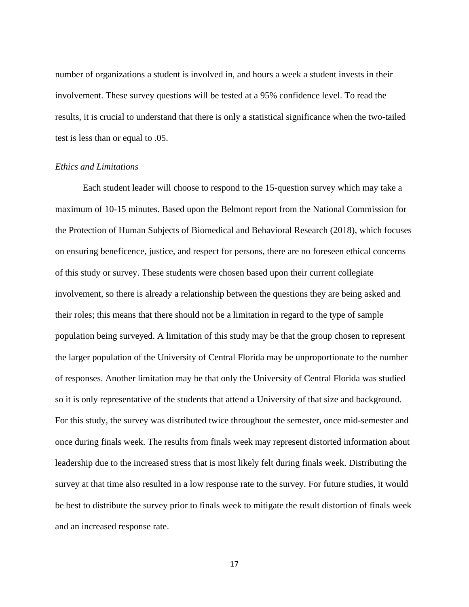number of organizations a student is involved in, and hours a week a student invests in their involvement. These survey questions will be tested at a 95% confidence level. To read the results, it is crucial to understand that there is only a statistical significance when the two-tailed test is less than or equal to .05.

#### <span id="page-23-0"></span>*Ethics and Limitations*

Each student leader will choose to respond to the 15-question survey which may take a maximum of 10-15 minutes. Based upon the Belmont report from the National Commission for the Protection of Human Subjects of Biomedical and Behavioral Research (2018), which focuses on ensuring beneficence, justice, and respect for persons, there are no foreseen ethical concerns of this study or survey. These students were chosen based upon their current collegiate involvement, so there is already a relationship between the questions they are being asked and their roles; this means that there should not be a limitation in regard to the type of sample population being surveyed. A limitation of this study may be that the group chosen to represent the larger population of the University of Central Florida may be unproportionate to the number of responses. Another limitation may be that only the University of Central Florida was studied so it is only representative of the students that attend a University of that size and background. For this study, the survey was distributed twice throughout the semester, once mid-semester and once during finals week. The results from finals week may represent distorted information about leadership due to the increased stress that is most likely felt during finals week. Distributing the survey at that time also resulted in a low response rate to the survey. For future studies, it would be best to distribute the survey prior to finals week to mitigate the result distortion of finals week and an increased response rate.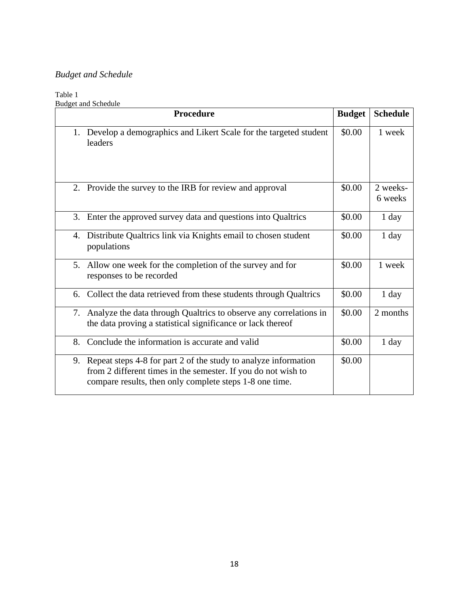## <span id="page-24-0"></span>*Budget and Schedule*

## <span id="page-24-2"></span>Table 1

<span id="page-24-1"></span>

|    | <b>Budget and Schedule</b>                                                                                                                                                                     |               |                     |
|----|------------------------------------------------------------------------------------------------------------------------------------------------------------------------------------------------|---------------|---------------------|
|    | <b>Procedure</b>                                                                                                                                                                               | <b>Budget</b> | <b>Schedule</b>     |
| 1. | Develop a demographics and Likert Scale for the targeted student<br>leaders                                                                                                                    | \$0.00        | 1 week              |
|    | 2. Provide the survey to the IRB for review and approval                                                                                                                                       | \$0.00        | 2 weeks-<br>6 weeks |
| 3. | Enter the approved survey data and questions into Qualtrics                                                                                                                                    | \$0.00        | $1$ day             |
| 4. | Distribute Qualtrics link via Knights email to chosen student<br>populations                                                                                                                   | \$0.00        | 1 day               |
|    | 5. Allow one week for the completion of the survey and for<br>responses to be recorded                                                                                                         | \$0.00        | 1 week              |
| 6. | Collect the data retrieved from these students through Qualtrics                                                                                                                               | \$0.00        | $1$ day             |
|    | 7. Analyze the data through Qualtrics to observe any correlations in<br>the data proving a statistical significance or lack thereof                                                            | \$0.00        | 2 months            |
| 8. | Conclude the information is accurate and valid                                                                                                                                                 | \$0.00        | 1 day               |
|    | 9. Repeat steps 4-8 for part 2 of the study to analyze information<br>from 2 different times in the semester. If you do not wish to<br>compare results, then only complete steps 1-8 one time. | \$0.00        |                     |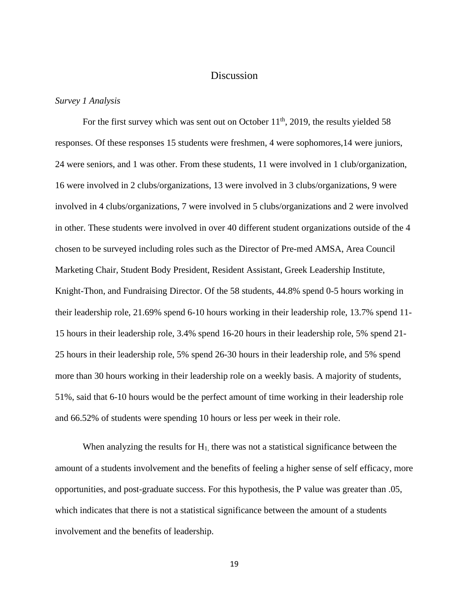#### **Discussion**

#### <span id="page-25-0"></span>*Survey 1 Analysis*

For the first survey which was sent out on October  $11<sup>th</sup>$ , 2019, the results yielded 58 responses. Of these responses 15 students were freshmen, 4 were sophomores,14 were juniors, 24 were seniors, and 1 was other. From these students, 11 were involved in 1 club/organization, 16 were involved in 2 clubs/organizations, 13 were involved in 3 clubs/organizations, 9 were involved in 4 clubs/organizations, 7 were involved in 5 clubs/organizations and 2 were involved in other. These students were involved in over 40 different student organizations outside of the 4 chosen to be surveyed including roles such as the Director of Pre-med AMSA, Area Council Marketing Chair, Student Body President, Resident Assistant, Greek Leadership Institute, Knight-Thon, and Fundraising Director. Of the 58 students, 44.8% spend 0-5 hours working in their leadership role, 21.69% spend 6-10 hours working in their leadership role, 13.7% spend 11- 15 hours in their leadership role, 3.4% spend 16-20 hours in their leadership role, 5% spend 21- 25 hours in their leadership role, 5% spend 26-30 hours in their leadership role, and 5% spend more than 30 hours working in their leadership role on a weekly basis. A majority of students, 51%, said that 6-10 hours would be the perfect amount of time working in their leadership role and 66.52% of students were spending 10 hours or less per week in their role.

When analyzing the results for  $H<sub>1</sub>$ , there was not a statistical significance between the amount of a students involvement and the benefits of feeling a higher sense of self efficacy, more opportunities, and post-graduate success. For this hypothesis, the P value was greater than .05, which indicates that there is not a statistical significance between the amount of a students involvement and the benefits of leadership.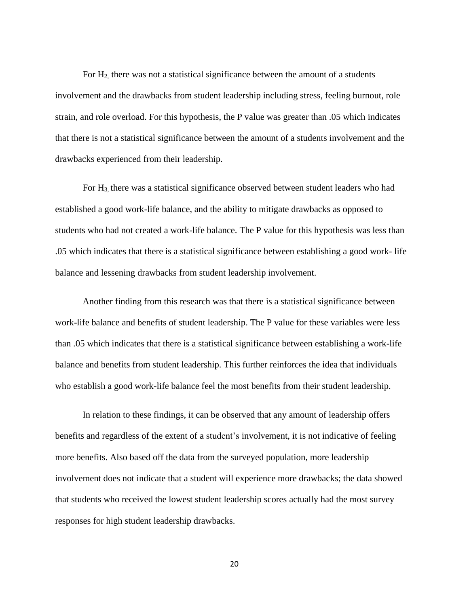For  $H_2$ , there was not a statistical significance between the amount of a students involvement and the drawbacks from student leadership including stress, feeling burnout, role strain, and role overload. For this hypothesis, the P value was greater than .05 which indicates that there is not a statistical significance between the amount of a students involvement and the drawbacks experienced from their leadership.

For H3, there was a statistical significance observed between student leaders who had established a good work-life balance, and the ability to mitigate drawbacks as opposed to students who had not created a work-life balance. The P value for this hypothesis was less than .05 which indicates that there is a statistical significance between establishing a good work- life balance and lessening drawbacks from student leadership involvement.

Another finding from this research was that there is a statistical significance between work-life balance and benefits of student leadership. The P value for these variables were less than .05 which indicates that there is a statistical significance between establishing a work-life balance and benefits from student leadership. This further reinforces the idea that individuals who establish a good work-life balance feel the most benefits from their student leadership.

In relation to these findings, it can be observed that any amount of leadership offers benefits and regardless of the extent of a student's involvement, it is not indicative of feeling more benefits. Also based off the data from the surveyed population, more leadership involvement does not indicate that a student will experience more drawbacks; the data showed that students who received the lowest student leadership scores actually had the most survey responses for high student leadership drawbacks.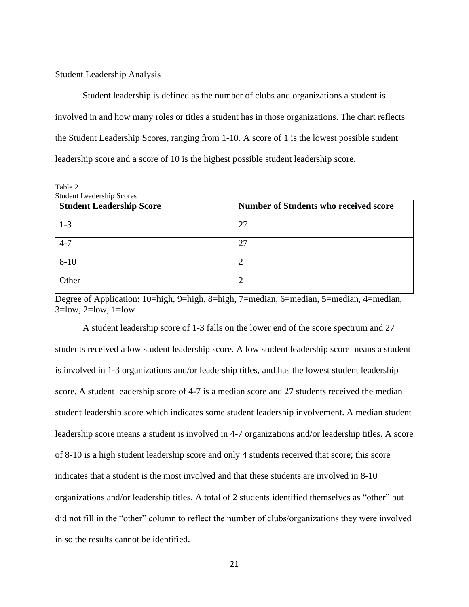#### <span id="page-27-0"></span>Student Leadership Analysis

Student leadership is defined as the number of clubs and organizations a student is involved in and how many roles or titles a student has in those organizations. The chart reflects the Student Leadership Scores, ranging from 1-10. A score of 1 is the lowest possible student leadership score and a score of 10 is the highest possible student leadership score.

<span id="page-27-1"></span>Table 2

| <b>Student Leadership Score</b> | Number of Students who received score |  |  |  |  |  |
|---------------------------------|---------------------------------------|--|--|--|--|--|
| $1-3$                           | 27                                    |  |  |  |  |  |
| $4 - 7$                         | 27                                    |  |  |  |  |  |
| $8 - 10$                        | റ                                     |  |  |  |  |  |
| Other                           | ി                                     |  |  |  |  |  |

Degree of Application: 10=high, 9=high, 8=high, 7=median, 6=median, 5=median, 4=median,  $3 =$ low,  $2 =$ low,  $1 =$ low

A student leadership score of 1-3 falls on the lower end of the score spectrum and 27 students received a low student leadership score. A low student leadership score means a student is involved in 1-3 organizations and/or leadership titles, and has the lowest student leadership score. A student leadership score of 4-7 is a median score and 27 students received the median student leadership score which indicates some student leadership involvement. A median student leadership score means a student is involved in 4-7 organizations and/or leadership titles. A score of 8-10 is a high student leadership score and only 4 students received that score; this score indicates that a student is the most involved and that these students are involved in 8-10 organizations and/or leadership titles. A total of 2 students identified themselves as "other" but did not fill in the "other" column to reflect the number of clubs/organizations they were involved in so the results cannot be identified.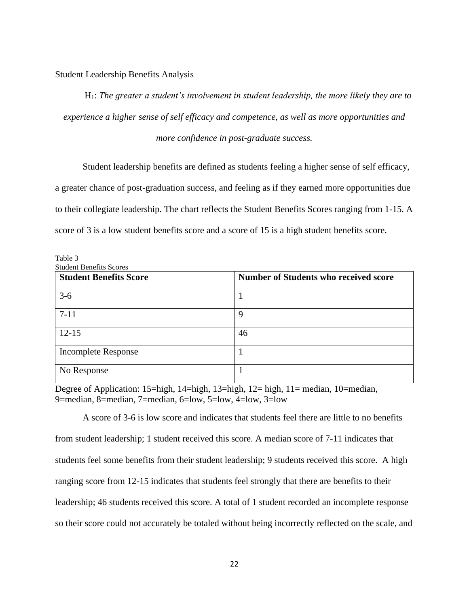<span id="page-28-0"></span>Student Leadership Benefits Analysis

H1: *The greater a student's involvement in student leadership, the more likely they are to experience a higher sense of self efficacy and competence, as well as more opportunities and more confidence in post-graduate success.*

Student leadership benefits are defined as students feeling a higher sense of self efficacy,

a greater chance of post-graduation success, and feeling as if they earned more opportunities due to their collegiate leadership. The chart reflects the Student Benefits Scores ranging from 1-15. A score of 3 is a low student benefits score and a score of 15 is a high student benefits score.

<span id="page-28-1"></span>

| Table 3 |  |  |                                     |  |
|---------|--|--|-------------------------------------|--|
|         |  |  | $\alpha$ , 1, $\alpha$ , $\alpha$ , |  |

| <b>Student Benefits Scores</b> |                                              |
|--------------------------------|----------------------------------------------|
| <b>Student Benefits Score</b>  | <b>Number of Students who received score</b> |
| $3-6$                          |                                              |
| $7 - 11$                       | 9                                            |
| $12 - 15$                      | 46                                           |
| <b>Incomplete Response</b>     |                                              |
| No Response                    |                                              |

Degree of Application: 15=high, 14=high, 13=high, 12= high, 11= median, 10=median, 9=median, 8=median, 7=median, 6=low, 5=low, 4=low, 3=low

A score of 3-6 is low score and indicates that students feel there are little to no benefits from student leadership; 1 student received this score. A median score of 7-11 indicates that students feel some benefits from their student leadership; 9 students received this score. A high ranging score from 12-15 indicates that students feel strongly that there are benefits to their leadership; 46 students received this score. A total of 1 student recorded an incomplete response so their score could not accurately be totaled without being incorrectly reflected on the scale, and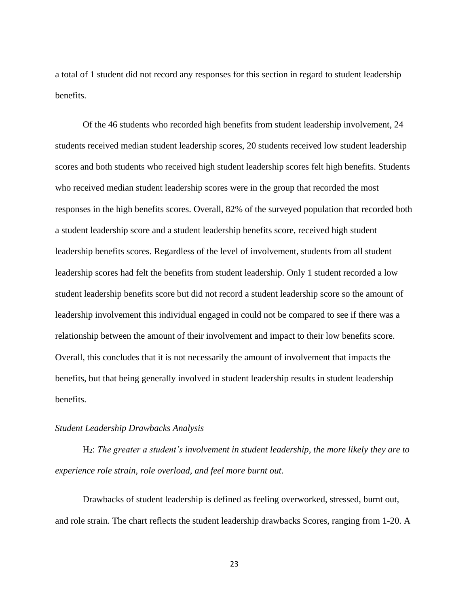a total of 1 student did not record any responses for this section in regard to student leadership benefits.

Of the 46 students who recorded high benefits from student leadership involvement, 24 students received median student leadership scores, 20 students received low student leadership scores and both students who received high student leadership scores felt high benefits. Students who received median student leadership scores were in the group that recorded the most responses in the high benefits scores. Overall, 82% of the surveyed population that recorded both a student leadership score and a student leadership benefits score, received high student leadership benefits scores. Regardless of the level of involvement, students from all student leadership scores had felt the benefits from student leadership. Only 1 student recorded a low student leadership benefits score but did not record a student leadership score so the amount of leadership involvement this individual engaged in could not be compared to see if there was a relationship between the amount of their involvement and impact to their low benefits score. Overall, this concludes that it is not necessarily the amount of involvement that impacts the benefits, but that being generally involved in student leadership results in student leadership benefits.

#### <span id="page-29-0"></span>*Student Leadership Drawbacks Analysis*

H2: *The greater a student's involvement in student leadership, the more likely they are to experience role strain, role overload, and feel more burnt out.*

Drawbacks of student leadership is defined as feeling overworked, stressed, burnt out, and role strain. The chart reflects the student leadership drawbacks Scores, ranging from 1-20. A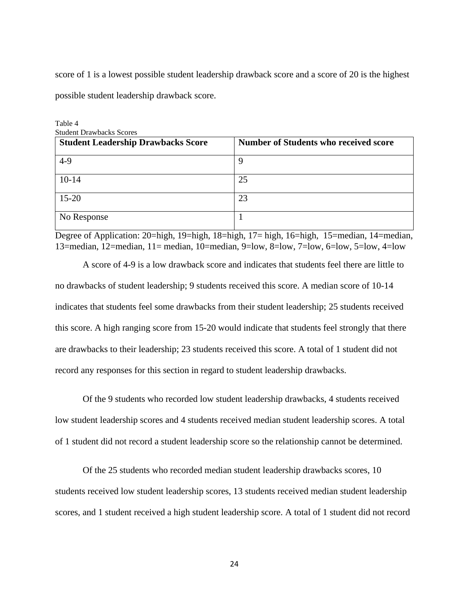score of 1 is a lowest possible student leadership drawback score and a score of 20 is the highest possible student leadership drawback score.

<span id="page-30-0"></span>Table 4

| <b>Student Drawbacks Scores</b>           |                                              |  |  |  |  |  |
|-------------------------------------------|----------------------------------------------|--|--|--|--|--|
| <b>Student Leadership Drawbacks Score</b> | <b>Number of Students who received score</b> |  |  |  |  |  |
| $4-9$                                     | Q                                            |  |  |  |  |  |
| $10-14$                                   | 25                                           |  |  |  |  |  |
| $15 - 20$                                 | 23                                           |  |  |  |  |  |
| No Response                               |                                              |  |  |  |  |  |

Degree of Application: 20=high, 19=high, 18=high, 17= high, 16=high, 15=median, 14=median, 13=median, 12=median, 11= median, 10=median, 9=low, 8=low, 7=low, 6=low, 5=low, 4=low

A score of 4-9 is a low drawback score and indicates that students feel there are little to no drawbacks of student leadership; 9 students received this score. A median score of 10-14 indicates that students feel some drawbacks from their student leadership; 25 students received this score. A high ranging score from 15-20 would indicate that students feel strongly that there are drawbacks to their leadership; 23 students received this score. A total of 1 student did not record any responses for this section in regard to student leadership drawbacks.

Of the 9 students who recorded low student leadership drawbacks, 4 students received low student leadership scores and 4 students received median student leadership scores. A total of 1 student did not record a student leadership score so the relationship cannot be determined.

Of the 25 students who recorded median student leadership drawbacks scores, 10 students received low student leadership scores, 13 students received median student leadership scores, and 1 student received a high student leadership score. A total of 1 student did not record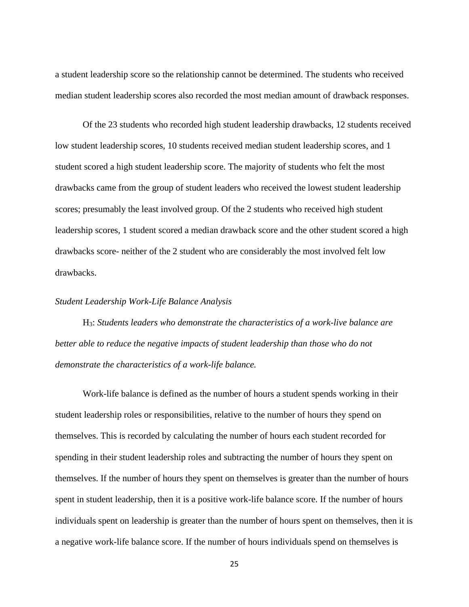a student leadership score so the relationship cannot be determined. The students who received median student leadership scores also recorded the most median amount of drawback responses.

Of the 23 students who recorded high student leadership drawbacks, 12 students received low student leadership scores, 10 students received median student leadership scores, and 1 student scored a high student leadership score. The majority of students who felt the most drawbacks came from the group of student leaders who received the lowest student leadership scores; presumably the least involved group. Of the 2 students who received high student leadership scores, 1 student scored a median drawback score and the other student scored a high drawbacks score- neither of the 2 student who are considerably the most involved felt low drawbacks.

#### <span id="page-31-0"></span>*Student Leadership Work-Life Balance Analysis*

H3: *Students leaders who demonstrate the characteristics of a work-live balance are better able to reduce the negative impacts of student leadership than those who do not demonstrate the characteristics of a work-life balance.*

Work-life balance is defined as the number of hours a student spends working in their student leadership roles or responsibilities, relative to the number of hours they spend on themselves. This is recorded by calculating the number of hours each student recorded for spending in their student leadership roles and subtracting the number of hours they spent on themselves. If the number of hours they spent on themselves is greater than the number of hours spent in student leadership, then it is a positive work-life balance score. If the number of hours individuals spent on leadership is greater than the number of hours spent on themselves, then it is a negative work-life balance score. If the number of hours individuals spend on themselves is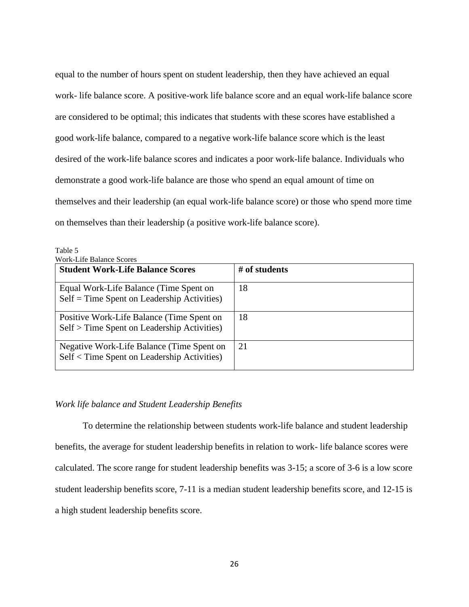equal to the number of hours spent on student leadership, then they have achieved an equal work- life balance score. A positive-work life balance score and an equal work-life balance score are considered to be optimal; this indicates that students with these scores have established a good work-life balance, compared to a negative work-life balance score which is the least desired of the work-life balance scores and indicates a poor work-life balance. Individuals who demonstrate a good work-life balance are those who spend an equal amount of time on themselves and their leadership (an equal work-life balance score) or those who spend more time on themselves than their leadership (a positive work-life balance score).

| <b>Work-Life Balance Scores</b>                                                          |               |
|------------------------------------------------------------------------------------------|---------------|
| <b>Student Work-Life Balance Scores</b>                                                  | # of students |
| Equal Work-Life Balance (Time Spent on<br>$Self = Time$ Spent on Leadership Activities)  | 18            |
| Positive Work-Life Balance (Time Spent on<br>Self > Time Spent on Leadership Activities) | 18            |
| Negative Work-Life Balance (Time Spent on<br>Self < Time Spent on Leadership Activities) | 21            |

<span id="page-32-1"></span>Table 5

#### <span id="page-32-0"></span>*Work life balance and Student Leadership Benefits*

<span id="page-32-2"></span>To determine the relationship between students work-life balance and student leadership benefits, the average for student leadership benefits in relation to work- life balance scores were calculated. The score range for student leadership benefits was 3-15; a score of 3-6 is a low score student leadership benefits score, 7-11 is a median student leadership benefits score, and 12-15 is a high student leadership benefits score.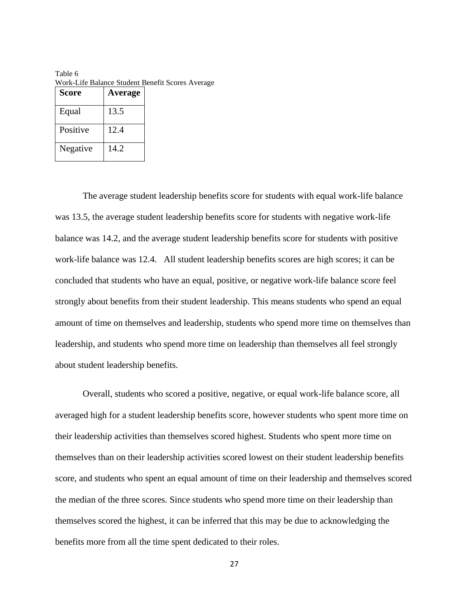| <b>Score</b> | Average |
|--------------|---------|
| Equal        | 13.5    |
| Positive     | 12.4    |
| Negative     | 14.2    |

Table 6 Work-Life Balance Student Benefit Scores Average

The average student leadership benefits score for students with equal work-life balance was 13.5, the average student leadership benefits score for students with negative work-life balance was 14.2, and the average student leadership benefits score for students with positive work-life balance was 12.4. All student leadership benefits scores are high scores; it can be concluded that students who have an equal, positive, or negative work-life balance score feel strongly about benefits from their student leadership. This means students who spend an equal amount of time on themselves and leadership, students who spend more time on themselves than leadership, and students who spend more time on leadership than themselves all feel strongly about student leadership benefits.

Overall, students who scored a positive, negative, or equal work-life balance score, all averaged high for a student leadership benefits score, however students who spent more time on their leadership activities than themselves scored highest. Students who spent more time on themselves than on their leadership activities scored lowest on their student leadership benefits score, and students who spent an equal amount of time on their leadership and themselves scored the median of the three scores. Since students who spend more time on their leadership than themselves scored the highest, it can be inferred that this may be due to acknowledging the benefits more from all the time spent dedicated to their roles.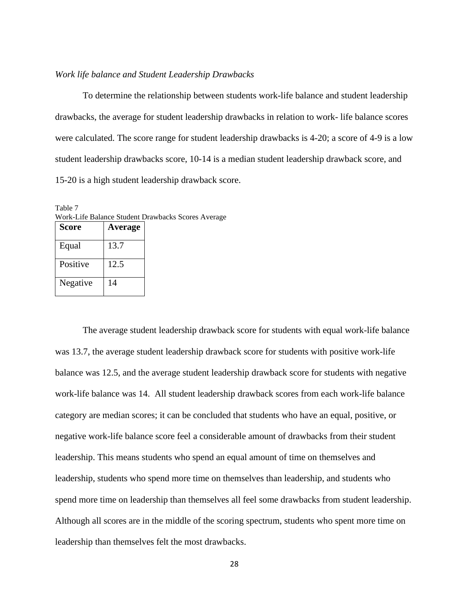#### <span id="page-34-0"></span>*Work life balance and Student Leadership Drawbacks*

To determine the relationship between students work-life balance and student leadership drawbacks, the average for student leadership drawbacks in relation to work- life balance scores were calculated. The score range for student leadership drawbacks is 4-20; a score of 4-9 is a low student leadership drawbacks score, 10-14 is a median student leadership drawback score, and 15-20 is a high student leadership drawback score.

| <b>Score</b> | Average |  |
|--------------|---------|--|
| Equal        | 13.7    |  |
| Positive     | 12.5    |  |
| Negative     | 14      |  |

<span id="page-34-1"></span>Table 7 Work-Life Balance Student Drawbacks Scores Average

The average student leadership drawback score for students with equal work-life balance was 13.7, the average student leadership drawback score for students with positive work-life balance was 12.5, and the average student leadership drawback score for students with negative work-life balance was 14. All student leadership drawback scores from each work-life balance category are median scores; it can be concluded that students who have an equal, positive, or negative work-life balance score feel a considerable amount of drawbacks from their student leadership. This means students who spend an equal amount of time on themselves and leadership, students who spend more time on themselves than leadership, and students who spend more time on leadership than themselves all feel some drawbacks from student leadership. Although all scores are in the middle of the scoring spectrum, students who spent more time on leadership than themselves felt the most drawbacks.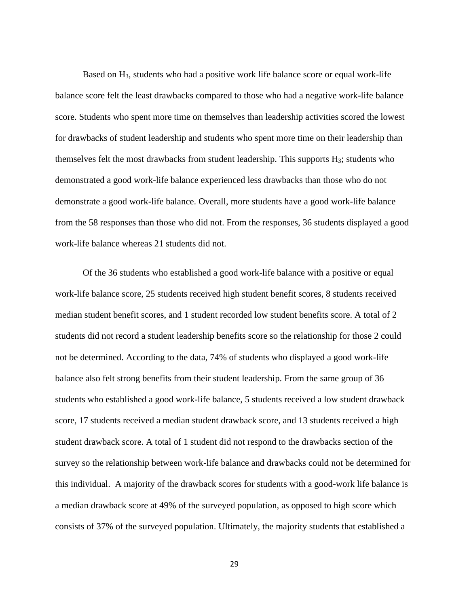Based on H3, students who had a positive work life balance score or equal work-life balance score felt the least drawbacks compared to those who had a negative work-life balance score. Students who spent more time on themselves than leadership activities scored the lowest for drawbacks of student leadership and students who spent more time on their leadership than themselves felt the most drawbacks from student leadership. This supports  $H_3$ ; students who demonstrated a good work-life balance experienced less drawbacks than those who do not demonstrate a good work-life balance. Overall, more students have a good work-life balance from the 58 responses than those who did not. From the responses, 36 students displayed a good work-life balance whereas 21 students did not.

Of the 36 students who established a good work-life balance with a positive or equal work-life balance score, 25 students received high student benefit scores, 8 students received median student benefit scores, and 1 student recorded low student benefits score. A total of 2 students did not record a student leadership benefits score so the relationship for those 2 could not be determined. According to the data, 74% of students who displayed a good work-life balance also felt strong benefits from their student leadership. From the same group of 36 students who established a good work-life balance, 5 students received a low student drawback score, 17 students received a median student drawback score, and 13 students received a high student drawback score. A total of 1 student did not respond to the drawbacks section of the survey so the relationship between work-life balance and drawbacks could not be determined for this individual. A majority of the drawback scores for students with a good-work life balance is a median drawback score at 49% of the surveyed population, as opposed to high score which consists of 37% of the surveyed population. Ultimately, the majority students that established a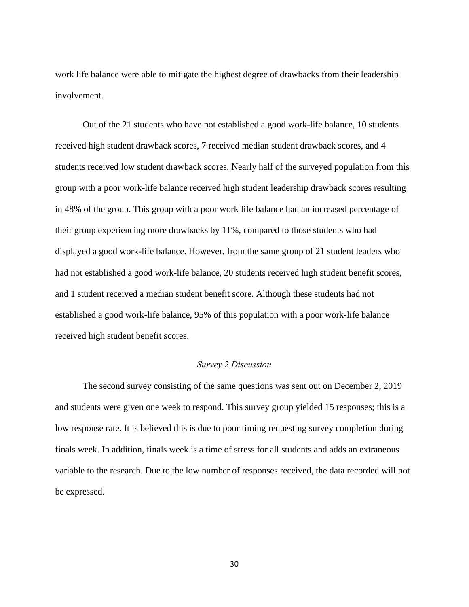work life balance were able to mitigate the highest degree of drawbacks from their leadership involvement.

Out of the 21 students who have not established a good work-life balance, 10 students received high student drawback scores, 7 received median student drawback scores, and 4 students received low student drawback scores. Nearly half of the surveyed population from this group with a poor work-life balance received high student leadership drawback scores resulting in 48% of the group. This group with a poor work life balance had an increased percentage of their group experiencing more drawbacks by 11%, compared to those students who had displayed a good work-life balance. However, from the same group of 21 student leaders who had not established a good work-life balance, 20 students received high student benefit scores, and 1 student received a median student benefit score. Although these students had not established a good work-life balance, 95% of this population with a poor work-life balance received high student benefit scores.

#### *Survey 2 Discussion*

<span id="page-36-0"></span>The second survey consisting of the same questions was sent out on December 2, 2019 and students were given one week to respond. This survey group yielded 15 responses; this is a low response rate. It is believed this is due to poor timing requesting survey completion during finals week. In addition, finals week is a time of stress for all students and adds an extraneous variable to the research. Due to the low number of responses received, the data recorded will not be expressed.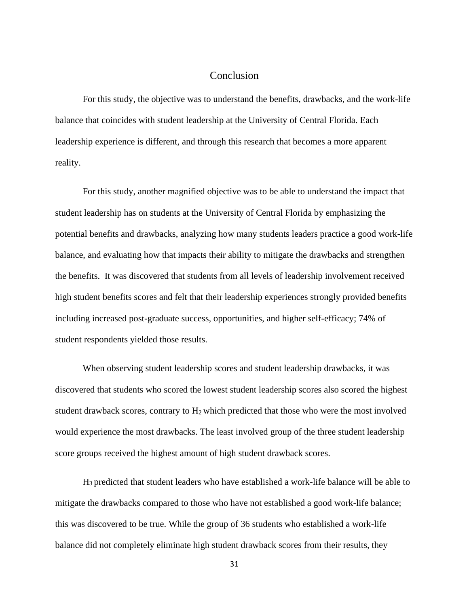#### Conclusion

<span id="page-37-0"></span>For this study, the objective was to understand the benefits, drawbacks, and the work-life balance that coincides with student leadership at the University of Central Florida. Each leadership experience is different, and through this research that becomes a more apparent reality.

For this study, another magnified objective was to be able to understand the impact that student leadership has on students at the University of Central Florida by emphasizing the potential benefits and drawbacks, analyzing how many students leaders practice a good work-life balance, and evaluating how that impacts their ability to mitigate the drawbacks and strengthen the benefits. It was discovered that students from all levels of leadership involvement received high student benefits scores and felt that their leadership experiences strongly provided benefits including increased post-graduate success, opportunities, and higher self-efficacy; 74% of student respondents yielded those results.

When observing student leadership scores and student leadership drawbacks, it was discovered that students who scored the lowest student leadership scores also scored the highest student drawback scores, contrary to H<sup>2</sup> which predicted that those who were the most involved would experience the most drawbacks. The least involved group of the three student leadership score groups received the highest amount of high student drawback scores.

H<sup>3</sup> predicted that student leaders who have established a work-life balance will be able to mitigate the drawbacks compared to those who have not established a good work-life balance; this was discovered to be true. While the group of 36 students who established a work-life balance did not completely eliminate high student drawback scores from their results, they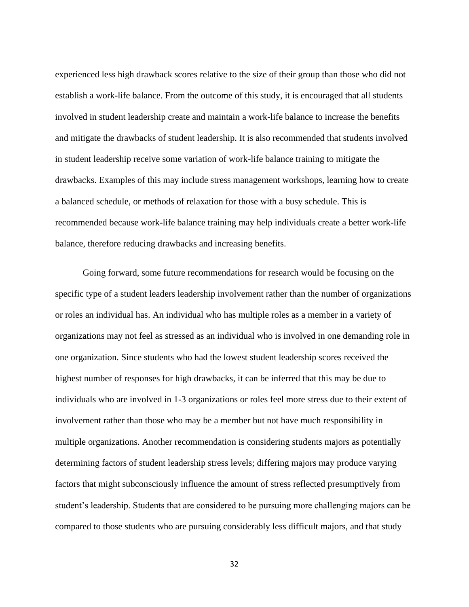experienced less high drawback scores relative to the size of their group than those who did not establish a work-life balance. From the outcome of this study, it is encouraged that all students involved in student leadership create and maintain a work-life balance to increase the benefits and mitigate the drawbacks of student leadership. It is also recommended that students involved in student leadership receive some variation of work-life balance training to mitigate the drawbacks. Examples of this may include stress management workshops, learning how to create a balanced schedule, or methods of relaxation for those with a busy schedule. This is recommended because work-life balance training may help individuals create a better work-life balance, therefore reducing drawbacks and increasing benefits.

Going forward, some future recommendations for research would be focusing on the specific type of a student leaders leadership involvement rather than the number of organizations or roles an individual has. An individual who has multiple roles as a member in a variety of organizations may not feel as stressed as an individual who is involved in one demanding role in one organization. Since students who had the lowest student leadership scores received the highest number of responses for high drawbacks, it can be inferred that this may be due to individuals who are involved in 1-3 organizations or roles feel more stress due to their extent of involvement rather than those who may be a member but not have much responsibility in multiple organizations. Another recommendation is considering students majors as potentially determining factors of student leadership stress levels; differing majors may produce varying factors that might subconsciously influence the amount of stress reflected presumptively from student's leadership. Students that are considered to be pursuing more challenging majors can be compared to those students who are pursuing considerably less difficult majors, and that study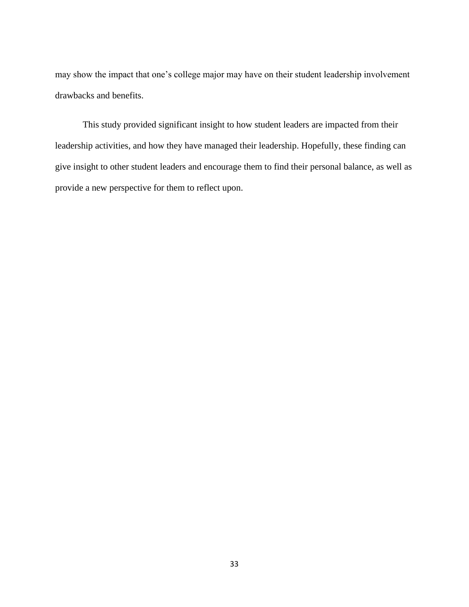may show the impact that one's college major may have on their student leadership involvement drawbacks and benefits.

This study provided significant insight to how student leaders are impacted from their leadership activities, and how they have managed their leadership. Hopefully, these finding can give insight to other student leaders and encourage them to find their personal balance, as well as provide a new perspective for them to reflect upon.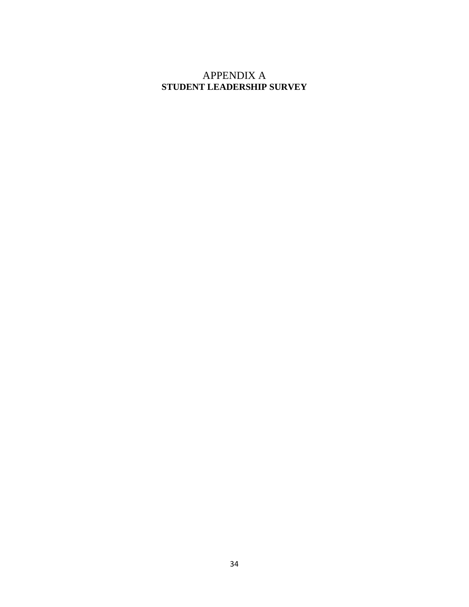### <span id="page-40-0"></span>APPENDIX A **STUDENT LEADERSHIP SURVEY**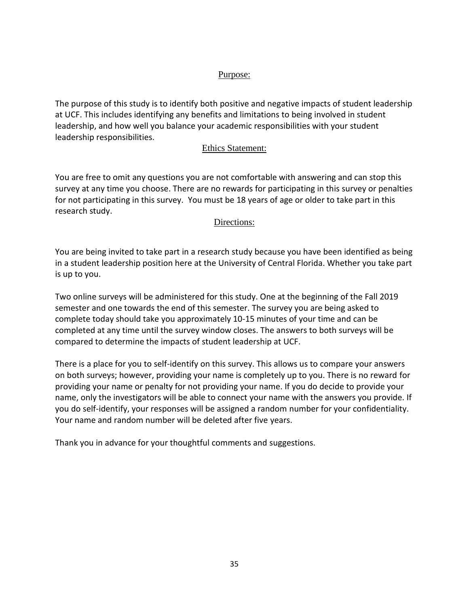#### Purpose:

The purpose of this study is to identify both positive and negative impacts of student leadership at UCF. This includes identifying any benefits and limitations to being involved in student leadership, and how well you balance your academic responsibilities with your student leadership responsibilities.

#### Ethics Statement:

You are free to omit any questions you are not comfortable with answering and can stop this survey at any time you choose. There are no rewards for participating in this survey or penalties for not participating in this survey. You must be 18 years of age or older to take part in this research study.

#### Directions:

You are being invited to take part in a research study because you have been identified as being in a student leadership position here at the University of Central Florida. Whether you take part is up to you.

Two online surveys will be administered for this study. One at the beginning of the Fall 2019 semester and one towards the end of this semester. The survey you are being asked to complete today should take you approximately 10-15 minutes of your time and can be completed at any time until the survey window closes. The answers to both surveys will be compared to determine the impacts of student leadership at UCF.

There is a place for you to self-identify on this survey. This allows us to compare your answers on both surveys; however, providing your name is completely up to you. There is no reward for providing your name or penalty for not providing your name. If you do decide to provide your name, only the investigators will be able to connect your name with the answers you provide. If you do self-identify, your responses will be assigned a random number for your confidentiality. Your name and random number will be deleted after five years.

Thank you in advance for your thoughtful comments and suggestions.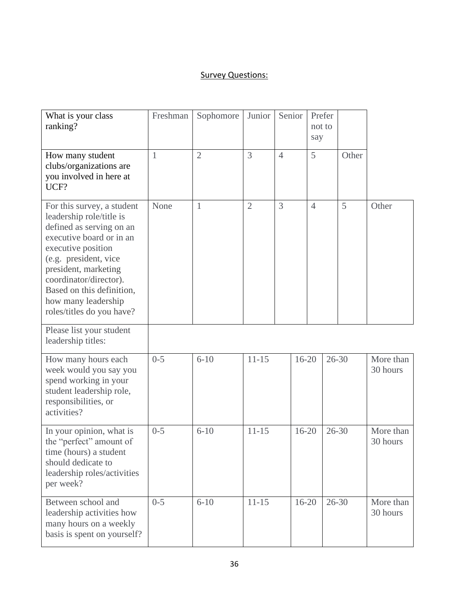## Survey Questions:

| What is your class<br>ranking?                                                                                                                                                                                                                                                                   | Freshman | Sophomore      | Junior         | Senior         |           | Prefer<br>not to<br>say |           |       |                       |
|--------------------------------------------------------------------------------------------------------------------------------------------------------------------------------------------------------------------------------------------------------------------------------------------------|----------|----------------|----------------|----------------|-----------|-------------------------|-----------|-------|-----------------------|
| How many student<br>clubs/organizations are<br>you involved in here at<br>UCF?                                                                                                                                                                                                                   | 1        | $\overline{2}$ | $\overline{3}$ | $\overline{4}$ |           | 5                       |           | Other |                       |
| For this survey, a student<br>leadership role/title is<br>defined as serving on an<br>executive board or in an<br>executive position<br>(e.g. president, vice<br>president, marketing<br>coordinator/director).<br>Based on this definition,<br>how many leadership<br>roles/titles do you have? | None     | $\mathbf{1}$   | $\overline{2}$ | $\overline{3}$ |           | $\overline{4}$          |           | 5     | Other                 |
| Please list your student<br>leadership titles:                                                                                                                                                                                                                                                   |          |                |                |                |           |                         |           |       |                       |
| How many hours each<br>week would you say you<br>spend working in your<br>student leadership role,<br>responsibilities, or<br>activities?                                                                                                                                                        | $0 - 5$  | $6 - 10$       | $11 - 15$      |                | $16 - 20$ |                         | $26 - 30$ |       | More than<br>30 hours |
| In your opinion, what is<br>the "perfect" amount of<br>time (hours) a student<br>should dedicate to<br>leadership roles/activities<br>per week?                                                                                                                                                  | $0 - 5$  | $6 - 10$       | $11 - 15$      |                | $16 - 20$ |                         | $26 - 30$ |       | More than<br>30 hours |
| Between school and<br>leadership activities how<br>many hours on a weekly<br>basis is spent on yourself?                                                                                                                                                                                         | $0 - 5$  | $6 - 10$       | $11 - 15$      |                | $16 - 20$ |                         | $26 - 30$ |       | More than<br>30 hours |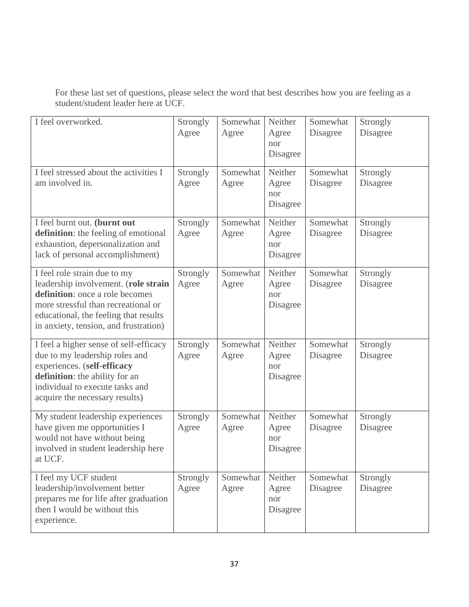For these last set of questions, please select the word that best describes how you are feeling as a student/student leader here at UCF.

| I feel overworked.                                                                                                                                                                                                               | Strongly<br>Agree | Somewhat<br>Agree | Neither<br>Agree<br>nor<br>Disagree | Somewhat<br>Disagree | Strongly<br>Disagree |
|----------------------------------------------------------------------------------------------------------------------------------------------------------------------------------------------------------------------------------|-------------------|-------------------|-------------------------------------|----------------------|----------------------|
| I feel stressed about the activities I<br>am involved in.                                                                                                                                                                        | Strongly<br>Agree | Somewhat<br>Agree | Neither<br>Agree<br>nor<br>Disagree | Somewhat<br>Disagree | Strongly<br>Disagree |
| I feel burnt out. (burnt out<br>definition: the feeling of emotional<br>exhaustion, depersonalization and<br>lack of personal accomplishment)                                                                                    | Strongly<br>Agree | Somewhat<br>Agree | Neither<br>Agree<br>nor<br>Disagree | Somewhat<br>Disagree | Strongly<br>Disagree |
| I feel role strain due to my<br>leadership involvement. (role strain<br>definition: once a role becomes<br>more stressful than recreational or<br>educational, the feeling that results<br>in anxiety, tension, and frustration) | Strongly<br>Agree | Somewhat<br>Agree | Neither<br>Agree<br>nor<br>Disagree | Somewhat<br>Disagree | Strongly<br>Disagree |
| I feel a higher sense of self-efficacy<br>due to my leadership roles and<br>experiences. (self-efficacy<br>definition: the ability for an<br>individual to execute tasks and<br>acquire the necessary results)                   | Strongly<br>Agree | Somewhat<br>Agree | Neither<br>Agree<br>nor<br>Disagree | Somewhat<br>Disagree | Strongly<br>Disagree |
| My student leadership experiences<br>have given me opportunities I<br>would not have without being<br>involved in student leadership here<br>at UCF.                                                                             | Strongly<br>Agree | Somewhat<br>Agree | Neither<br>Agree<br>nor<br>Disagree | Somewhat<br>Disagree | Strongly<br>Disagree |
| I feel my UCF student<br>leadership/involvement better<br>prepares me for life after graduation<br>then I would be without this<br>experience.                                                                                   | Strongly<br>Agree | Somewhat<br>Agree | Neither<br>Agree<br>nor<br>Disagree | Somewhat<br>Disagree | Strongly<br>Disagree |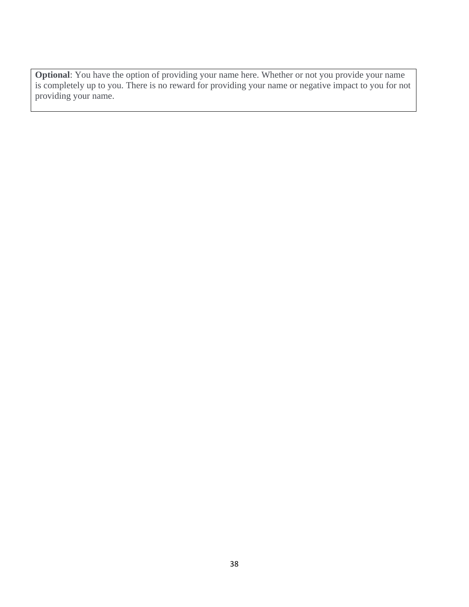<span id="page-44-0"></span>**Optional**: You have the option of providing your name here. Whether or not you provide your name is completely up to you. There is no reward for providing your name or negative impact to you for not providing your name.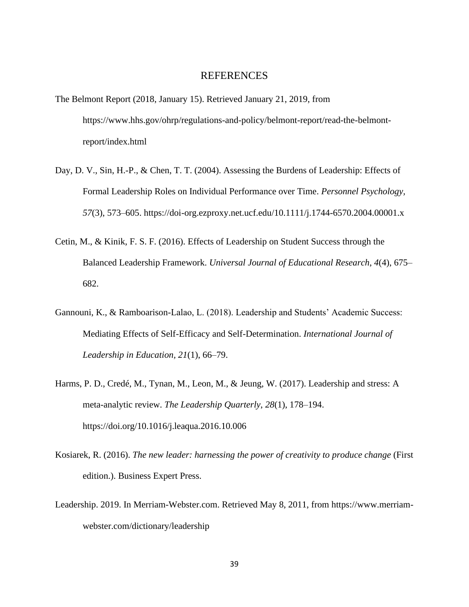#### REFERENCES

- The Belmont Report (2018, January 15). Retrieved January 21, 2019, from https://www.hhs.gov/ohrp/regulations-and-policy/belmont-report/read-the-belmontreport/index.html
- Day, D. V., Sin, H.-P., & Chen, T. T. (2004). Assessing the Burdens of Leadership: Effects of Formal Leadership Roles on Individual Performance over Time. *Personnel Psychology, 57*(3), 573–605. https://doi-org.ezproxy.net.ucf.edu/10.1111/j.1744-6570.2004.00001.x
- Cetin, M., & Kinik, F. S. F. (2016). Effects of Leadership on Student Success through the Balanced Leadership Framework. *Universal Journal of Educational Research*, *4*(4), 675– 682.
- Gannouni, K., & Ramboarison-Lalao, L. (2018). Leadership and Students' Academic Success: Mediating Effects of Self-Efficacy and Self-Determination. *International Journal of Leadership in Education, 21*(1), 66–79.
- Harms, P. D., Credé, M., Tynan, M., Leon, M., & Jeung, W. (2017). Leadership and stress: A meta-analytic review. *The Leadership Quarterly*, *28*(1), 178–194. https://doi.org/10.1016/j.leaqua.2016.10.006
- Kosiarek, R. (2016). *The new leader: harnessing the power of creativity to produce change* (First edition.). Business Expert Press.
- Leadership. 2019. In Merriam-Webster.com. Retrieved May 8, 2011, from https://www.merriamwebster.com/dictionary/leadership